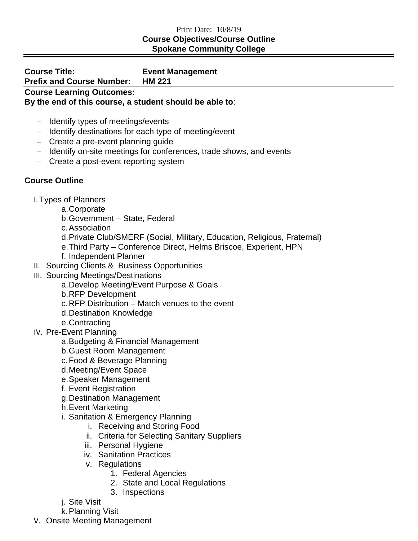## Print Date: 10/8/19 **Course Objectives/Course Outline Spokane Community College**

**Course Title: Event Management Prefix and Course Number: HM 221 Course Learning Outcomes: By the end of this course, a student should be able to**:

- − Identify types of meetings/events
- − Identify destinations for each type of meeting/event
- − Create a pre-event planning guide
- − Identify on-site meetings for conferences, trade shows, and events
- − Create a post-event reporting system

## **Course Outline**

- I. Types of Planners
	- a.Corporate
	- b.Government State, Federal
	- c.Association
	- d.Private Club/SMERF (Social, Military, Education, Religious, Fraternal)
	- e.Third Party Conference Direct, Helms Briscoe, Experient, HPN
	- f. Independent Planner
- II. Sourcing Clients & Business Opportunities
- III. Sourcing Meetings/Destinations
	- a.Develop Meeting/Event Purpose & Goals
	- b.RFP Development
	- c.RFP Distribution Match venues to the event
	- d.Destination Knowledge
	- e.Contracting
- IV. Pre-Event Planning
	- a.Budgeting & Financial Management
	- b.Guest Room Management
	- c.Food & Beverage Planning
	- d.Meeting/Event Space
	- e.Speaker Management
	- f. Event Registration
	- g.Destination Management
	- h.Event Marketing
	- i. Sanitation & Emergency Planning
		- i. Receiving and Storing Food
		- ii. Criteria for Selecting Sanitary Suppliers
		- iii. Personal Hygiene
		- iv. Sanitation Practices
		- v. Regulations
			- 1. Federal Agencies
			- 2. State and Local Regulations
			- 3. Inspections
	- j. Site Visit
	- k.Planning Visit
- V. Onsite Meeting Management